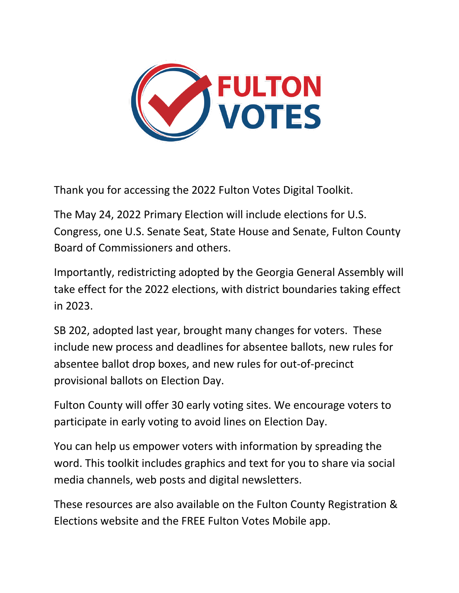

Thank you for accessing the 2022 Fulton Votes Digital Toolkit.

The May 24, 2022 Primary Election will include elections for U.S. Congress, one U.S. Senate Seat, State House and Senate, Fulton County Board of Commissioners and others.

Importantly, redistricting adopted by the Georgia General Assembly will take effect for the 2022 elections, with district boundaries taking effect in 2023.

SB 202, adopted last year, brought many changes for voters. These include new process and deadlines for absentee ballots, new rules for absentee ballot drop boxes, and new rules for out-of-precinct provisional ballots on Election Day.

Fulton County will offer 30 early voting sites. We encourage voters to participate in early voting to avoid lines on Election Day.

You can help us empower voters with information by spreading the word. This toolkit includes graphics and text for you to share via social media channels, web posts and digital newsletters.

These resources are also available on the Fulton County Registration & Elections website and the FREE Fulton Votes Mobile app.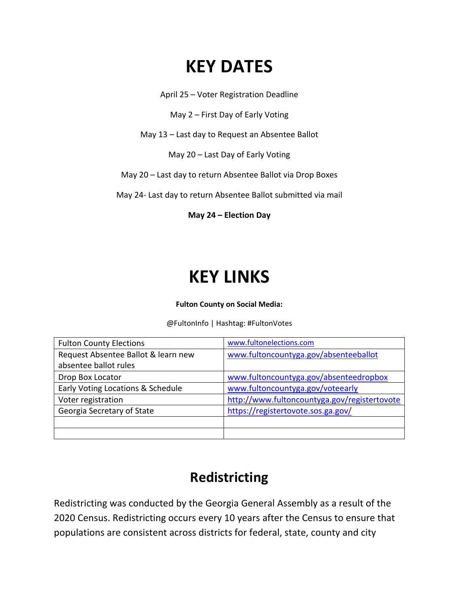# **KEY DATES**

April 25 – Voter Registration Deadline

May 2 – First Day of Early Voting

May 13 – Last day to Request an Absentee Ballot

May 20 – Last Day of Early Voting

May 20 – Last day to return Absentee Ballot via Drop Boxes

May 24- Last day to return Absentee Ballot submitted via mail

**May 24 – Election Day**

# **KEY LINKS**

#### **Fulton County on Social Media:**

@FultonInfo | Hashtag: #FultonVotes

| <b>Fulton County Elections</b>      | www.fultonelections.com                      |
|-------------------------------------|----------------------------------------------|
| Request Absentee Ballot & learn new | www.fultoncountyga.gov/absenteeballot        |
| absentee ballot rules               |                                              |
| Drop Box Locator                    | www.fultoncountyga.gov/absenteedropbox       |
| Early Voting Locations & Schedule   | www.fultoncountyga.gov/voteearly             |
| Voter registration                  | http://www.fultoncountyga.gov/registertovote |
| Georgia Secretary of State          | https://registertovote.sos.ga.gov/           |
|                                     |                                              |
|                                     |                                              |

## **Redistricting**

Redistricting was conducted by the Georgia General Assembly as a result of the 2020 Census. Redistricting occurs every 10 years after the Census to ensure that populations are consistent across districts for federal, state, county and city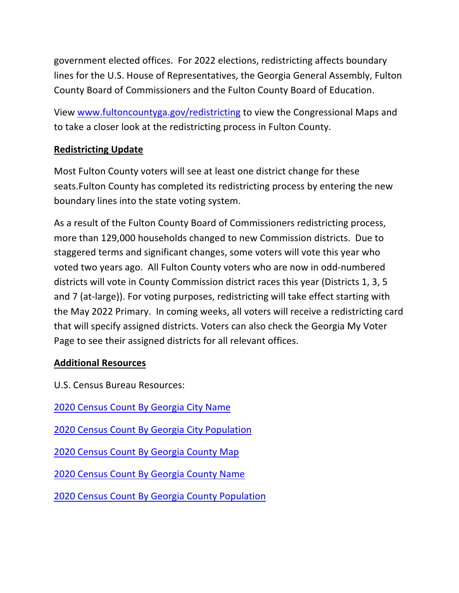government elected offices. For 2022 elections, redistricting affects boundary lines for the U.S. House of Representatives, the Georgia General Assembly, Fulton County Board of Commissioners and the Fulton County Board of Education.

View www.fultoncountyga.gov/redistricting to view the Congressional Maps and to take a closer look at the redistricting process in Fulton County.

### **Redistricting Update**

Most Fulton County voters will see at least one district change for these seats.Fulton County has completed its redistricting process by entering the new boundary lines into the state voting system.

As a result of the Fulton County Board of Commissioners redistricting process, more than 129,000 households changed to new Commission districts. Due to staggered terms and significant changes, some voters will vote this year who voted two years ago. All Fulton County voters who are now in odd-numbered districts will vote in County Commission district races this year (Districts 1, 3, 5 and 7 (at-large)). For voting purposes, redistricting will take effect starting with the May 2022 Primary. In coming weeks, all voters will receive a redistricting card that will specify assigned districts. Voters can also check the Georgia My Voter Page to see their assigned districts for all relevant offices.

### **Additional Resources**

- U.S. Census Bureau Resources:
- 2020 Census Count By Georgia City Name
- 2020 Census Count By Georgia City Population
- 2020 Census Count By Georgia County Map
- 2020 Census Count By Georgia County Name
- 2020 Census Count By Georgia County Population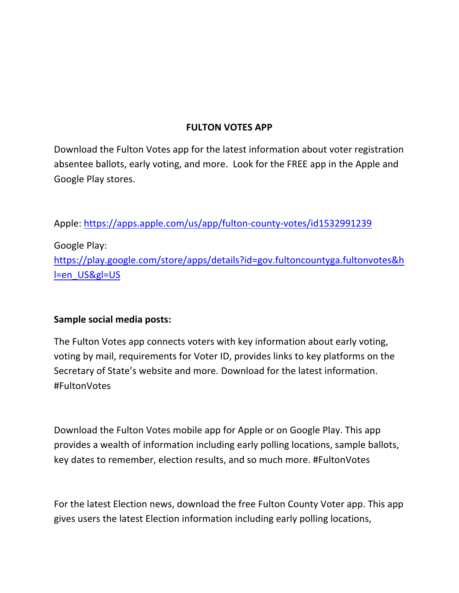### **FULTON VOTES APP**

Download the Fulton Votes app for the latest information about voter registration absentee ballots, early voting, and more. Look for the FREE app in the Apple and Google Play stores.

Apple: https://apps.apple.com/us/app/fulton-county-votes/id1532991239

Google Play: https://play.google.com/store/apps/details?id=gov.fultoncountyga.fultonvotes&h l=en\_US&gl=US

### **Sample social media posts:**

The Fulton Votes app connects voters with key information about early voting, voting by mail, requirements for Voter ID, provides links to key platforms on the Secretary of State's website and more. Download for the latest information. #FultonVotes

Download the Fulton Votes mobile app for Apple or on Google Play. This app provides a wealth of information including early polling locations, sample ballots, key dates to remember, election results, and so much more. #FultonVotes

For the latest Election news, download the free Fulton County Voter app. This app gives users the latest Election information including early polling locations,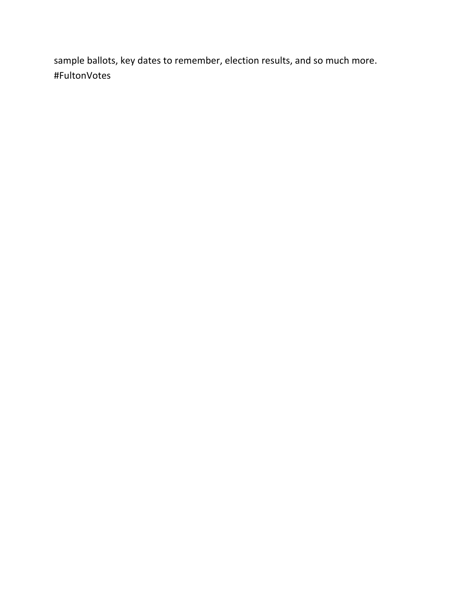sample ballots, key dates to remember, election results, and so much more. #FultonVotes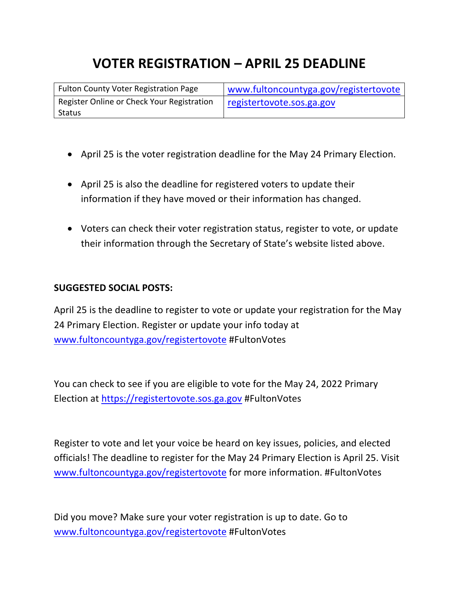# **VOTER REGISTRATION – APRIL 25 DEADLINE**

| Fulton County Voter Registration Page      | www.fultoncountyga.gov/registertovote |
|--------------------------------------------|---------------------------------------|
| Register Online or Check Your Registration | registertovote.sos.ga.gov             |
| Status                                     |                                       |

- April 25 is the voter registration deadline for the May 24 Primary Election.
- April 25 is also the deadline for registered voters to update their information if they have moved or their information has changed.
- Voters can check their voter registration status, register to vote, or update their information through the Secretary of State's website listed above.

#### **SUGGESTED SOCIAL POSTS:**

April 25 is the deadline to register to vote or update your registration for the May 24 Primary Election. Register or update your info today at www.fultoncountyga.gov/registertovote #FultonVotes

You can check to see if you are eligible to vote for the May 24, 2022 Primary Election at https://registertovote.sos.ga.gov #FultonVotes

Register to vote and let your voice be heard on key issues, policies, and elected officials! The deadline to register for the May 24 Primary Election is April 25. Visit www.fultoncountyga.gov/registertovote for more information. #FultonVotes

Did you move? Make sure your voter registration is up to date. Go to www.fultoncountyga.gov/registertovote #FultonVotes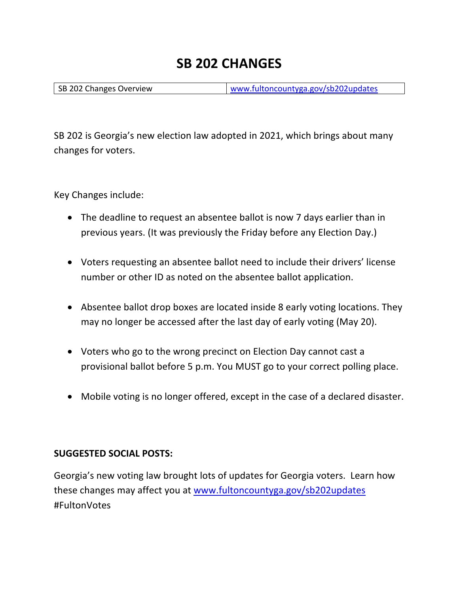### **SB 202 CHANGES**

SB 202 Changes Overview www.fultoncountyga.gov/sb202updates

SB 202 is Georgia's new election law adopted in 2021, which brings about many changes for voters.

Key Changes include:

- The deadline to request an absentee ballot is now 7 days earlier than in previous years. (It was previously the Friday before any Election Day.)
- Voters requesting an absentee ballot need to include their drivers' license number or other ID as noted on the absentee ballot application.
- Absentee ballot drop boxes are located inside 8 early voting locations. They may no longer be accessed after the last day of early voting (May 20).
- Voters who go to the wrong precinct on Election Day cannot cast a provisional ballot before 5 p.m. You MUST go to your correct polling place.
- Mobile voting is no longer offered, except in the case of a declared disaster.

#### **SUGGESTED SOCIAL POSTS:**

Georgia's new voting law brought lots of updates for Georgia voters. Learn how these changes may affect you at www.fultoncountyga.gov/sb202updates #FultonVotes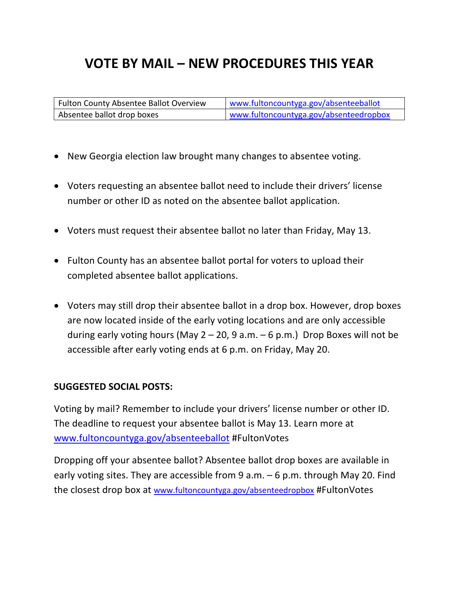## **VOTE BY MAIL – NEW PROCEDURES THIS YEAR**

| Fulton County Absentee Ballot Overview | www.fultoncountyga.gov/absenteeballot  |
|----------------------------------------|----------------------------------------|
| Absentee ballot drop boxes             | www.fultoncountyga.gov/absenteedropbox |

- New Georgia election law brought many changes to absentee voting.
- Voters requesting an absentee ballot need to include their drivers' license number or other ID as noted on the absentee ballot application.
- Voters must request their absentee ballot no later than Friday, May 13.
- Fulton County has an absentee ballot portal for voters to upload their completed absentee ballot applications.
- Voters may still drop their absentee ballot in a drop box. However, drop boxes are now located inside of the early voting locations and are only accessible during early voting hours (May  $2 - 20$ , 9 a.m.  $-6$  p.m.) Drop Boxes will not be accessible after early voting ends at 6 p.m. on Friday, May 20.

#### **SUGGESTED SOCIAL POSTS:**

Voting by mail? Remember to include your drivers' license number or other ID. The deadline to request your absentee ballot is May 13. Learn more at www.fultoncountyga.gov/absenteeballot #FultonVotes

Dropping off your absentee ballot? Absentee ballot drop boxes are available in early voting sites. They are accessible from 9 a.m. – 6 p.m. through May 20. Find the closest drop box at www.fultoncountyga.gov/absenteedropbox #FultonVotes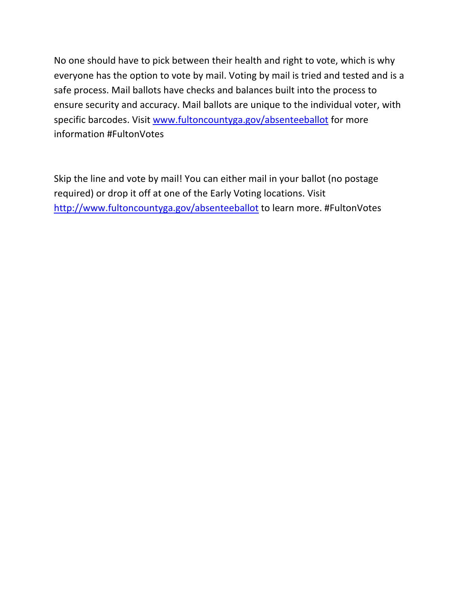No one should have to pick between their health and right to vote, which is why everyone has the option to vote by mail. Voting by mail is tried and tested and is a safe process. Mail ballots have checks and balances built into the process to ensure security and accuracy. Mail ballots are unique to the individual voter, with specific barcodes. Visit www.fultoncountyga.gov/absenteeballot for more information #FultonVotes

Skip the line and vote by mail! You can either mail in your ballot (no postage required) or drop it off at one of the Early Voting locations. Visit http://www.fultoncountyga.gov/absenteeballot to learn more. #FultonVotes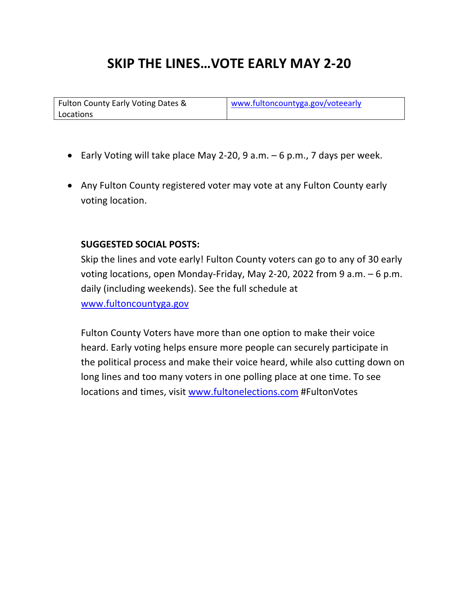## **SKIP THE LINES…VOTE EARLY MAY 2-20**

Fulton County Early Voting Dates & Locations

www.fultoncountyga.gov/voteearly

- Early Voting will take place May 2-20, 9 a.m. 6 p.m., 7 days per week.
- Any Fulton County registered voter may vote at any Fulton County early voting location.

#### **SUGGESTED SOCIAL POSTS:**

Skip the lines and vote early! Fulton County voters can go to any of 30 early voting locations, open Monday-Friday, May 2-20, 2022 from 9 a.m. – 6 p.m. daily (including weekends). See the full schedule at www.fultoncountyga.gov

Fulton County Voters have more than one option to make their voice heard. Early voting helps ensure more people can securely participate in the political process and make their voice heard, while also cutting down on long lines and too many voters in one polling place at one time. To see locations and times, visit www.fultonelections.com #FultonVotes